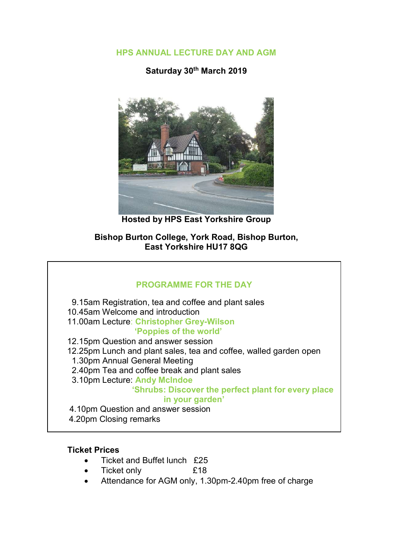HPS ANNUAL LECTURE DAY AND AGM

Saturday 30th March 2019



Hosted by HPS East Yorkshire Group

Bishop Burton College, York Road, Bishop Burton, East Yorkshire HU17 8QG

# PROGRAMME FOR THE DAY 9.15am Registration, tea and coffee and plant sales 10.45am Welcome and introduction 11.00am Lecture: Christopher Grey-Wilson 'Poppies of the world' 12.15pm Question and answer session 12.25pm Lunch and plant sales, tea and coffee, walled garden open 1.30pm Annual General Meeting 2.40pm Tea and coffee break and plant sales 3.10pm Lecture: Andy McIndoe 'Shrubs: Discover the perfect plant for every place in your garden' 4.10pm Question and answer session 4.20pm Closing remarks

# Ticket Prices

- Ticket and Buffet lunch £25
- Ticket only £18
- Attendance for AGM only, 1.30pm-2.40pm free of charge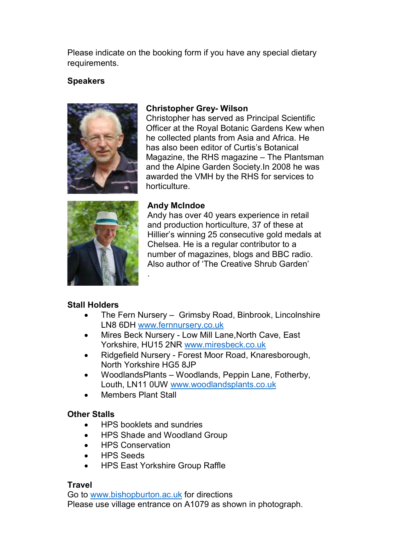Please indicate on the booking form if you have any special dietary requirements.

# Speakers



## Christopher Grey- Wilson

Christopher has served as Principal Scientific Officer at the Royal Botanic Gardens Kew when he collected plants from Asia and Africa. He has also been editor of Curtis's Botanical Magazine, the RHS magazine – The Plantsman and the Alpine Garden Society.In 2008 he was awarded the VMH by the RHS for services to horticulture.



### Andy McIndoe

Andy has over 40 years experience in retail and production horticulture, 37 of these at Hillier's winning 25 consecutive gold medals at Chelsea. He is a regular contributor to a number of magazines, blogs and BBC radio. Also author of 'The Creative Shrub Garden'

# Stall Holders

- The Fern Nursery Grimsby Road, Binbrook, Lincolnshire LN8 6DH www.fernnursery.co.uk
- Mires Beck Nursery Low Mill Lane,North Cave, East Yorkshire, HU15 2NR www.miresbeck.co.uk
- Ridgefield Nursery Forest Moor Road, Knaresborough, North Yorkshire HG5 8JP
- WoodlandsPlants Woodlands, Peppin Lane, Fotherby, Louth, LN11 0UW www.woodlandsplants.co.uk
- Members Plant Stall

# Other Stalls

• HPS booklets and sundries

.

- HPS Shade and Woodland Group
- HPS Conservation
- HPS Seeds
- HPS East Yorkshire Group Raffle

# Travel

Go to www.bishopburton.ac.uk for directions Please use village entrance on A1079 as shown in photograph.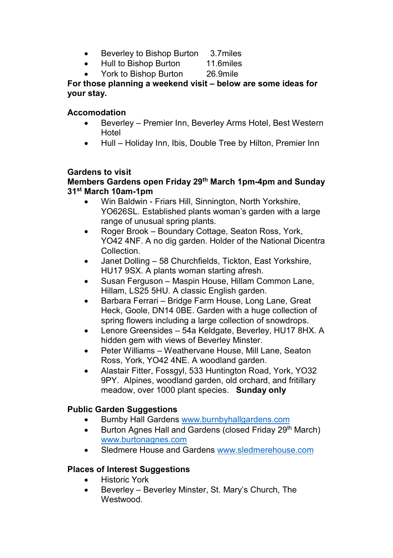- Beverley to Bishop Burton 3.7 miles
- Hull to Bishop Burton 11.6miles
- York to Bishop Burton 26.9mile

For those planning a weekend visit – below are some ideas for your stay.

### **Accomodation**

- Beverley Premier Inn, Beverley Arms Hotel, Best Western Hotel
- Hull Holiday Inn, Ibis, Double Tree by Hilton, Premier Inn

### Gardens to visit

### Members Gardens open Friday 29<sup>th</sup> March 1pm-4pm and Sunday 31st March 10am-1pm

- Win Baldwin Friars Hill, Sinnington, North Yorkshire, YO626SL. Established plants woman's garden with a large range of unusual spring plants.
- Roger Brook Boundary Cottage, Seaton Ross, York, YO42 4NF. A no dig garden. Holder of the National Dicentra **Collection**
- Janet Dolling 58 Churchfields, Tickton, East Yorkshire, HU17 9SX. A plants woman starting afresh.
- Susan Ferguson Maspin House, Hillam Common Lane, Hillam, LS25 5HU. A classic English garden.
- Barbara Ferrari Bridge Farm House, Long Lane, Great Heck, Goole, DN14 0BE. Garden with a huge collection of spring flowers including a large collection of snowdrops.
- Lenore Greensides 54a Keldgate, Beverley, HU17 8HX. A hidden gem with views of Beverley Minster.
- Peter Williams Weathervane House, Mill Lane, Seaton Ross, York, YO42 4NE. A woodland garden.
- Alastair Fitter, Fossgyl, 533 Huntington Road, York, YO32 9PY. Alpines, woodland garden, old orchard, and fritillary meadow, over 1000 plant species. Sunday only

### Public Garden Suggestions

- Burnby Hall Gardens www.burnbyhallgardens.com
- **Burton Agnes Hall and Gardens (closed Friday 29th March)** www.burtonagnes.com
- Sledmere House and Gardens www.sledmerehouse.com

# Places of Interest Suggestions

- Historic York
- Beverley Beverley Minster, St. Mary's Church, The Westwood.